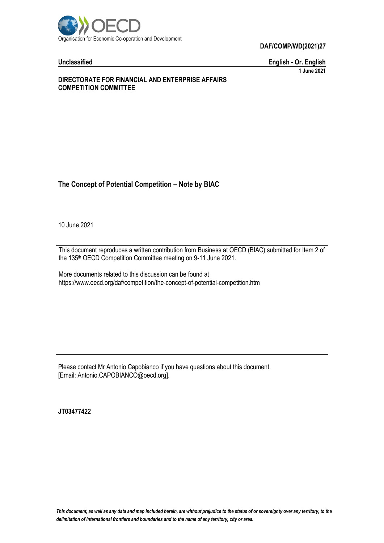

**Unclassified English - Or. English 1 June 2021**

#### **DIRECTORATE FOR FINANCIAL AND ENTERPRISE AFFAIRS COMPETITION COMMITTEE**

# **The Concept of Potential Competition – Note by BIAC**

10 June 2021

This document reproduces a written contribution from Business at OECD (BIAC) submitted for Item 2 of the 135<sup>th</sup> OECD Competition Committee meeting on 9-11 June 2021.

More documents related to this discussion can be found at https://www.oecd.org/daf/competition/the-concept-of-potential-competition.htm

Please contact Mr Antonio Capobianco if you have questions about this document. [Email: Antonio.CAPOBIANCO@oecd.org].

**JT03477422**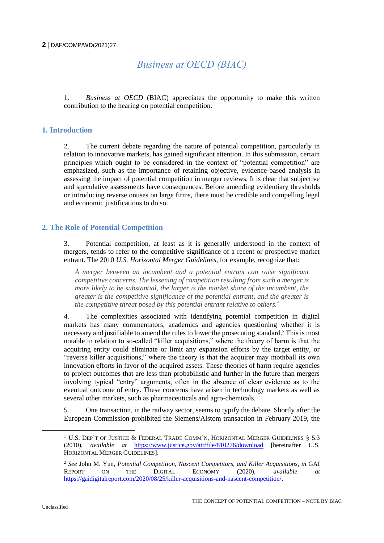# *Business at OECD (BIAC)*

1. *Business at OECD* (BIAC) appreciates the opportunity to make this written contribution to the hearing on potential competition.

## **1. Introduction**

2. The current debate regarding the nature of potential competition, particularly in relation to innovative markets, has gained significant attention. In this submission, certain principles which ought to be considered in the context of "potential competition" are emphasized, such as the importance of retaining objective, evidence-based analysis in assessing the impact of potential competition in merger reviews. It is clear that subjective and speculative assessments have consequences. Before amending evidentiary thresholds or introducing reverse onuses on large firms, there must be credible and compelling legal and economic justifications to do so.

# **2. The Role of Potential Competition**

3. Potential competition, at least as it is generally understood in the context of mergers, tends to refer to the competitive significance of a recent or prospective market entrant. The 2010 *U.S. Horizontal Merger Guidelines*, for example, recognize that:

*A merger between an incumbent and a potential entrant can raise significant competitive concerns. The lessening of competition resulting from such a merger is more likely to be substantial, the larger is the market share of the incumbent, the greater is the competitive significance of the potential entrant, and the greater is the competitive threat posed by this potential entrant relative to others.<sup>1</sup>*

4. The complexities associated with identifying potential competition in digital markets has many commentators, academics and agencies questioning whether it is necessary and justifiable to amend the rules to lower the prosecuting standard.<sup>2</sup> This is most notable in relation to so-called "killer acquisitions," where the theory of harm is that the acquiring entity could eliminate or limit any expansion efforts by the target entity, or "reverse killer acquisitions," where the theory is that the acquirer may mothball its own innovation efforts in favor of the acquired assets. These theories of harm require agencies to project outcomes that are less than probabilistic and further in the future than mergers involving typical "entry" arguments, often in the absence of clear evidence as to the eventual outcome of entry. These concerns have arisen in technology markets as well as several other markets, such as pharmaceuticals and agro-chemicals.

5. One transaction, in the railway sector, seems to typify the debate. Shortly after the European Commission prohibited the Siemens/Alstom transaction in February 2019, the

 $\overline{a}$ 

<sup>&</sup>lt;sup>1</sup> U.S. DEP'T OF JUSTICE & FEDERAL TRADE COMM'N, HORIZONTAL MERGER GUIDELINES  $§$  5.3 (2010), *available at* <https://www.justice.gov/atr/file/810276/download> [hereinafter U.S. HORIZONTAL MERGER GUIDELINES].

<sup>&</sup>lt;sup>2</sup> See John M. Yun, *Potential Competition, Nascent Competitors, and Killer Acquisitions, in GAI*<br>REPORT ON THE DIGITAL ECONOMY (2020), *available at* REPORT ON THE DIGITAL ECONOMY (2020), *available at* [https://gaidigitalreport.com/2020/08/25/killer-acquisitions-and-nascent-competition/.](https://gaidigitalreport.com/2020/08/25/killer-acquisitions-and-nascent-competition/)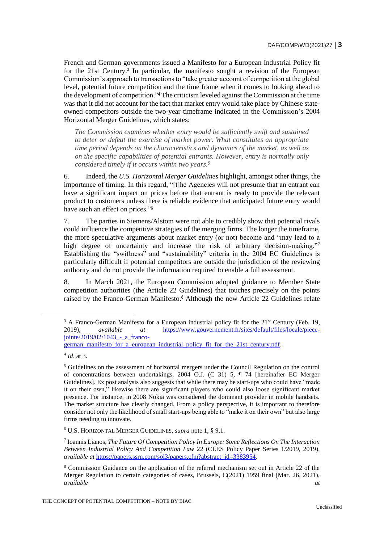French and German governments issued a Manifesto for a European Industrial Policy fit for the 21st Century.<sup>3</sup> In particular, the manifesto sought a revision of the European Commission's approach to transactions to "take greater account of competition at the global level, potential future competition and the time frame when it comes to looking ahead to the development of competition."<sup>4</sup> The criticism leveled against the Commission at the time was that it did not account for the fact that market entry would take place by Chinese stateowned competitors outside the two-year timeframe indicated in the Commission's 2004 Horizontal Merger Guidelines, which states:

*The Commission examines whether entry would be sufficiently swift and sustained to deter or defeat the exercise of market power. What constitutes an appropriate time period depends on the characteristics and dynamics of the market, as well as on the specific capabilities of potential entrants. However, entry is normally only considered timely if it occurs within two years.<sup>5</sup>*

6. Indeed, the *U.S. Horizontal Merger Guidelines* highlight, amongst other things, the importance of timing. In this regard, "[t]he Agencies will not presume that an entrant can have a significant impact on prices before that entrant is ready to provide the relevant product to customers unless there is reliable evidence that anticipated future entry would have such an effect on prices."<sup>6</sup>

7. The parties in Siemens/Alstom were not able to credibly show that potential rivals could influence the competitive strategies of the merging firms. The longer the timeframe, the more speculative arguments about market entry (or not) become and "may lead to a high degree of uncertainty and increase the risk of arbitrary decision-making."<sup>7</sup> Establishing the "swiftness" and "sustainability" criteria in the 2004 EC Guidelines is particularly difficult if potential competitors are outside the jurisdiction of the reviewing authority and do not provide the information required to enable a full assessment.

8. In March 2021, the European Commission adopted guidance to Member State competition authorities (the Article 22 Guidelines) that touches precisely on the points raised by the Franco-German Manifesto.<sup>8</sup> Although the new Article 22 Guidelines relate

 $3 \text{ A Franco-German Manifesto for a European industrial policy fit for the 21<sup>st</sup> Century (Feb. 19, 19).$ 2019), *available at* [https://www.gouvernement.fr/sites/default/files/locale/piece](https://www.gouvernement.fr/sites/default/files/locale/piece-jointe/2019/02/1043_-_a_franco-german_manifesto_for_a_european_industrial_policy_fit_for_the_21st_century.pdf) $iointe/2019/02/1043$  - a franco[german\\_manifesto\\_for\\_a\\_european\\_industrial\\_policy\\_fit\\_for\\_the\\_21st\\_century.pdf.](https://www.gouvernement.fr/sites/default/files/locale/piece-jointe/2019/02/1043_-_a_franco-german_manifesto_for_a_european_industrial_policy_fit_for_the_21st_century.pdf)

<sup>4</sup> *Id*. at 3.

<sup>5</sup> Guidelines on the assessment of horizontal mergers under the Council Regulation on the control of concentrations between undertakings, 2004 O.J. (C 31) 5, ¶ 74 [hereinafter EC Merger Guidelines]. Ex post analysis also suggests that while there may be start-ups who could have "made it on their own," likewise there are significant players who could also loose significant market presence. For instance, in 2008 Nokia was considered the dominant provider in mobile handsets. The market structure has clearly changed. From a policy perspective, it is important to therefore consider not only the likelihood of small start-ups being able to "make it on their own" but also large firms needing to innovate.

<sup>6</sup> U.S. HORIZONTAL MERGER GUIDELINES, *supra* note 1, § 9.1.

<sup>7</sup> Ioannis Lianos, *The Future Of Competition Policy In Europe: Some Reflections On The Interaction Between Industrial Policy And Competition Law* 22 (CLES Policy Paper Series 1/2019, 2019), *available at* [https://papers.ssrn.com/sol3/papers.cfm?abstract\\_id=3383954.](https://papers.ssrn.com/sol3/papers.cfm?abstract_id=3383954)

<sup>8</sup> Commission Guidance on the application of the referral mechanism set out in Article 22 of the Merger Regulation to certain categories of cases, Brussels, C(2021) 1959 final (Mar. 26, 2021), *available at*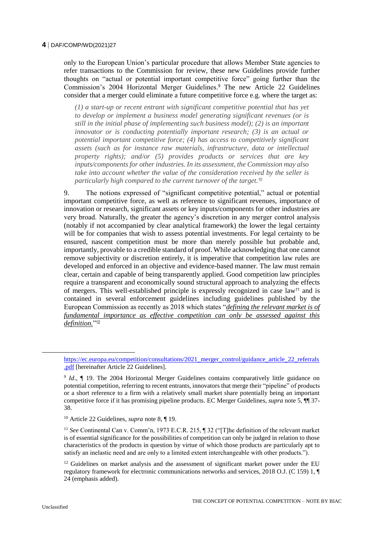only to the European Union's particular procedure that allows Member State agencies to refer transactions to the Commission for review, these new Guidelines provide further thoughts on "actual or potential important competitive force" going further than the Commission's 2004 Horizontal Merger Guidelines.<sup>9</sup> The new Article 22 Guidelines consider that a merger could eliminate a future competitive force e.g. where the target as:

*(1) a start-up or recent entrant with significant competitive potential that has yet to develop or implement a business model generating significant revenues (or is still in the initial phase of implementing such business model); (2) is an important innovator or is conducting potentially important research; (3) is an actual or potential important competitive force; (4) has access to competitively significant assets (such as for instance raw materials, infrastructure, data or intellectual property rights); and/or (5) provides products or services that are key inputs/components for other industries. In its assessment, the Commission may also take into account whether the value of the consideration received by the seller is particularly high compared to the current turnover of the target.<sup>10</sup>*

9. The notions expressed of "significant competitive potential," actual or potential important competitive force, as well as reference to significant revenues, importance of innovation or research, significant assets or key inputs/components for other industries are very broad. Naturally, the greater the agency's discretion in any merger control analysis (notably if not accompanied by clear analytical framework) the lower the legal certainty will be for companies that wish to assess potential investments. For legal certainty to be ensured, nascent competition must be more than merely possible but probable and, importantly, provable to a credible standard of proof. While acknowledging that one cannot remove subjectivity or discretion entirely, it is imperative that competition law rules are developed and enforced in an objective and evidence-based manner. The law must remain clear, certain and capable of being transparently applied. Good competition law principles require a transparent and economically sound structural approach to analyzing the effects of mergers. This well-established principle is expressly recognized in case law<sup>11</sup> and is contained in several enforcement guidelines including guidelines published by the European Commission as recently as 2018 which states "*defining the relevant market is of fundamental importance as effective competition can only be assessed against this definition.*" 12

<sup>10</sup> Article 22 Guidelines, *supra* note 8, ¶ 19.

<sup>11</sup> *See* Continental Can v. Comm'n, 1973 E.C.R. 215, ¶ 32 ("[T]he definition of the relevant market is of essential significance for the possibilities of competition can only be judged in relation to those characteristics of the products in question by virtue of which those products are particularly apt to satisfy an inelastic need and are only to a limited extent interchangeable with other products.").

 $12$  Guidelines on market analysis and the assessment of significant market power under the EU regulatory framework for electronic communications networks and services, 2018 O.J. (C 159) 1, ¶ 24 (emphasis added).

 $\overline{a}$ 

[https://ec.europa.eu/competition/consultations/2021\\_merger\\_control/guidance\\_article\\_22\\_referrals](https://ec.europa.eu/competition/consultations/2021_merger_control/guidance_article_22_referrals.pdf) [.pdf](https://ec.europa.eu/competition/consultations/2021_merger_control/guidance_article_22_referrals.pdf) [hereinafter Article 22 Guidelines].

<sup>&</sup>lt;sup>9</sup> *Id.*, **[** 19. The 2004 Horizontal Merger Guidelines contains comparatively little guidance on potential competition, referring to recent entrants, innovators that merge their "pipeline" of products or a short reference to a firm with a relatively small market share potentially being an important competitive force if it has promising pipeline products. EC Merger Guidelines, *supra* note 5, ¶¶ 37- 38.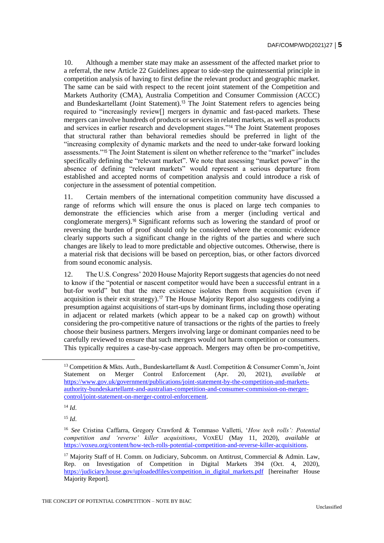10. Although a member state may make an assessment of the affected market prior to a referral, the new Article 22 Guidelines appear to side-step the quintessential principle in competition analysis of having to first define the relevant product and geographic market. The same can be said with respect to the recent joint statement of the Competition and Markets Authority (CMA), Australia Competition and Consumer Commission (ACCC) and Bundeskartellamt (Joint Statement).<sup>13</sup> The Joint Statement refers to agencies being required to "increasingly review[] mergers in dynamic and fast-paced markets. These mergers can involve hundreds of products or services in related markets, as well as products and services in earlier research and development stages."<sup>14</sup> The Joint Statement proposes that structural rather than behavioral remedies should be preferred in light of the "increasing complexity of dynamic markets and the need to under-take forward looking assessments."<sup>15</sup> The Joint Statement is silent on whether reference to the "market" includes specifically defining the "relevant market". We note that assessing "market power" in the absence of defining "relevant markets" would represent a serious departure from established and accepted norms of competition analysis and could introduce a risk of conjecture in the assessment of potential competition.

11. Certain members of the international competition community have discussed a range of reforms which will ensure the onus is placed on large tech companies to demonstrate the efficiencies which arise from a merger (including vertical and conglomerate mergers).<sup>16</sup> Significant reforms such as lowering the standard of proof or reversing the burden of proof should only be considered where the economic evidence clearly supports such a significant change in the rights of the parties and where such changes are likely to lead to more predictable and objective outcomes. Otherwise, there is a material risk that decisions will be based on perception, bias, or other factors divorced from sound economic analysis.

12. The U.S. Congress' 2020 House Majority Report suggests that agencies do not need to know if the "potential or nascent competitor would have been a successful entrant in a but-for world" but that the mere existence isolates them from acquisition (even if acquisition is their exit strategy).<sup>17</sup> The House Majority Report also suggests codifying a presumption against acquisitions of start-ups by dominant firms, including those operating in adjacent or related markets (which appear to be a naked cap on growth) without considering the pro-competitive nature of transactions or the rights of the parties to freely choose their business partners. Mergers involving large or dominant companies need to be carefully reviewed to ensure that such mergers would not harm competition or consumers. This typically requires a case-by-case approach. Mergers may often be pro-competitive,

<sup>15</sup> *Id*.

<sup>&</sup>lt;sup>13</sup> Competition & Mkts. Auth., Bundeskartellamt & Austl. Competition & Consumer Comm'n, Joint Statement on Merger Control Enforcement (Apr. 20, 2021), *available at* [https://www.gov.uk/government/publications/joint-statement-by-the-competition-and-markets](https://www.gov.uk/government/publications/joint-statement-by-the-competition-and-markets-authority-bundeskartellamt-and-australian-competition-and-consumer-commission-on-merger-control/joint-statement-on-merger-control-enforcement)[authority-bundeskartellamt-and-australian-competition-and-consumer-commission-on-merger](https://www.gov.uk/government/publications/joint-statement-by-the-competition-and-markets-authority-bundeskartellamt-and-australian-competition-and-consumer-commission-on-merger-control/joint-statement-on-merger-control-enforcement)[control/joint-statement-on-merger-control-enforcement.](https://www.gov.uk/government/publications/joint-statement-by-the-competition-and-markets-authority-bundeskartellamt-and-australian-competition-and-consumer-commission-on-merger-control/joint-statement-on-merger-control-enforcement)

<sup>14</sup> *Id*.

<sup>16</sup> *See* Cristina Caffarra, Gregory Crawford & Tommaso Valletti, '*How tech rolls': Potential competition and 'reverse' killer acquisitions*, VOXEU (May 11, 2020), *available at* [https://voxeu.org/content/how-tech-rolls-potential-competition-and-reverse-killer-acquisitions.](https://voxeu.org/content/how-tech-rolls-potential-competition-and-reverse-killer-acquisitions)

<sup>&</sup>lt;sup>17</sup> Majority Staff of H. Comm. on Judiciary, Subcomm. on Antitrust, Commercial & Admin. Law, Rep. on Investigation of Competition in Digital Markets 394 (Oct. 4, 2020), [https://judiciary.house.gov/uploadedfiles/competition\\_in\\_digital\\_markets.pdf](https://judiciary.house.gov/uploadedfiles/competition_in_digital_markets.pdf) [hereinafter House Majority Report].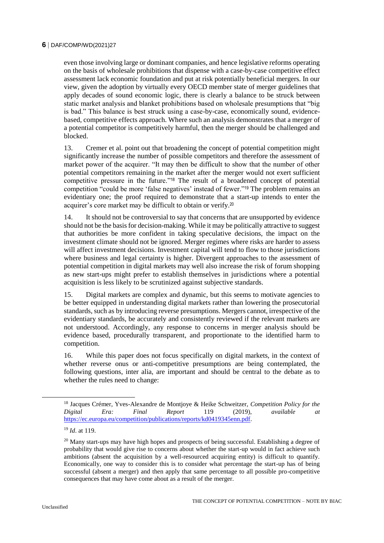even those involving large or dominant companies, and hence legislative reforms operating on the basis of wholesale prohibitions that dispense with a case-by-case competitive effect assessment lack economic foundation and put at risk potentially beneficial mergers. In our view, given the adoption by virtually every OECD member state of merger guidelines that apply decades of sound economic logic, there is clearly a balance to be struck between static market analysis and blanket prohibitions based on wholesale presumptions that "big is bad." This balance is best struck using a case-by-case, economically sound, evidencebased, competitive effects approach. Where such an analysis demonstrates that a merger of a potential competitor is competitively harmful, then the merger should be challenged and blocked.

13. Cremer et al. point out that broadening the concept of potential competition might significantly increase the number of possible competitors and therefore the assessment of market power of the acquirer. "It may then be difficult to show that the number of other potential competitors remaining in the market after the merger would not exert sufficient competitive pressure in the future."<sup>18</sup> The result of a broadened concept of potential competition "could be more 'false negatives' instead of fewer."<sup>19</sup> The problem remains an evidentiary one; the proof required to demonstrate that a start-up intends to enter the acquirer's core market may be difficult to obtain or verify.<sup>20</sup>

14. It should not be controversial to say that concerns that are unsupported by evidence should not be the basis for decision-making. While it may be politically attractive to suggest that authorities be more confident in taking speculative decisions, the impact on the investment climate should not be ignored. Merger regimes where risks are harder to assess will affect investment decisions. Investment capital will tend to flow to those jurisdictions where business and legal certainty is higher. Divergent approaches to the assessment of potential competition in digital markets may well also increase the risk of forum shopping as new start-ups might prefer to establish themselves in jurisdictions where a potential acquisition is less likely to be scrutinized against subjective standards.

15. Digital markets are complex and dynamic, but this seems to motivate agencies to be better equipped in understanding digital markets rather than lowering the prosecutorial standards, such as by introducing reverse presumptions. Mergers cannot, irrespective of the evidentiary standards, be accurately and consistently reviewed if the relevant markets are not understood. Accordingly, any response to concerns in merger analysis should be evidence based, procedurally transparent, and proportionate to the identified harm to competition.

16. While this paper does not focus specifically on digital markets, in the context of whether reverse onus or anti-competitive presumptions are being contemplated, the following questions, inter alia, are important and should be central to the debate as to whether the rules need to change:

<sup>18</sup> Jacques Crémer, Yves-Alexandre de Montjoye & Heike Schweitzer, *Competition Policy for the Digital Era: Final Report* 119 (2019), *available at* [https://ec.europa.eu/competition/publications/reports/kd0419345enn.pdf.](https://ec.europa.eu/competition/publications/reports/kd0419345enn.pdf)

<sup>19</sup> *Id*. at 119.

 $20$  Many start-ups may have high hopes and prospects of being successful. Establishing a degree of probability that would give rise to concerns about whether the start-up would in fact achieve such ambitions (absent the acquisition by a well-resourced acquiring entity) is difficult to quantify. Economically, one way to consider this is to consider what percentage the start-up has of being successful (absent a merger) and then apply that same percentage to all possible pro-competitive consequences that may have come about as a result of the merger.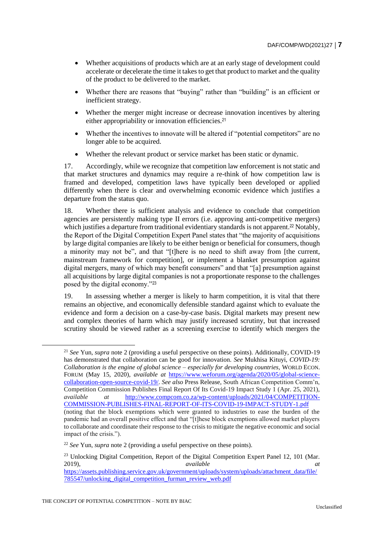- Whether acquisitions of products which are at an early stage of development could accelerate or decelerate the time it takes to get that product to market and the quality of the product to be delivered to the market.
- Whether there are reasons that "buying" rather than "building" is an efficient or inefficient strategy.
- Whether the merger might increase or decrease innovation incentives by altering either appropriability or innovation efficiencies.<sup>21</sup>
- Whether the incentives to innovate will be altered if "potential competitors" are no longer able to be acquired.
- Whether the relevant product or service market has been static or dynamic.

17. Accordingly, while we recognize that competition law enforcement is not static and that market structures and dynamics may require a re-think of how competition law is framed and developed, competition laws have typically been developed or applied differently when there is clear and overwhelming economic evidence which justifies a departure from the status quo.

18. Whether there is sufficient analysis and evidence to conclude that competition agencies are persistently making type II errors (i.e. approving anti-competitive mergers) which justifies a departure from traditional evidentiary standards is not apparent.<sup>22</sup> Notably, the Report of the Digital Competition Expert Panel states that "the majority of acquisitions by large digital companies are likely to be either benign or beneficial for consumers, though a minority may not be", and that "[t]here is no need to shift away from [the current, mainstream framework for competition], or implement a blanket presumption against digital mergers, many of which may benefit consumers" and that "[a] presumption against all acquisitions by large digital companies is not a proportionate response to the challenges posed by the digital economy."<sup>23</sup>

19. In assessing whether a merger is likely to harm competition, it is vital that there remains an objective, and economically defensible standard against which to evaluate the evidence and form a decision on a case-by-case basis. Digital markets may present new and complex theories of harm which may justify increased scrutiny, but that increased scrutiny should be viewed rather as a screening exercise to identify which mergers the

<sup>21</sup> *See* Yun, *supra* note 2 (providing a useful perspective on these points). Additionally, COVID-19 has demonstrated that collaboration can be good for innovation. *See* Mukhisa Kituyi, *COVID-19: Collaboration is the engine of global science – especially for developing countries,* WORLD ECON. FORUM (May 15, 2020), *available at* [https://www.weforum.org/agenda/2020/05/global-science](https://www.weforum.org/agenda/2020/05/global-science-collaboration-open-source-covid-19/)[collaboration-open-source-covid-19/.](https://www.weforum.org/agenda/2020/05/global-science-collaboration-open-source-covid-19/) *See also* Press Release, South African Competition Comm'n, Competition Commission Publishes Final Report Of Its Covid-19 Impact Study 1 (Apr. 25, 2021), *available at* [http://www.compcom.co.za/wp-content/uploads/2021/04/COMPETITION-](http://www.compcom.co.za/wp-content/uploads/2021/04/COMPETITION-COMMISSION-PUBLISHES-FINAL-REPORT-OF-ITS-COVID-19-IMPACT-STUDY-1.pdf)[COMMISSION-PUBLISHES-FINAL-REPORT-OF-ITS-COVID-19-IMPACT-STUDY-1.pdf](http://www.compcom.co.za/wp-content/uploads/2021/04/COMPETITION-COMMISSION-PUBLISHES-FINAL-REPORT-OF-ITS-COVID-19-IMPACT-STUDY-1.pdf) (noting that the block exemptions which were granted to industries to ease the burden of the pandemic had an overall positive effect and that "[t]hese block exemptions allowed market players to collaborate and coordinate their response to the crisis to mitigate the negative economic and social impact of the crisis.").

<sup>22</sup> *See* Yun, *supra* note 2 (providing a useful perspective on these points).

<sup>&</sup>lt;sup>23</sup> Unlocking Digital Competition, Report of the Digital Competition Expert Panel 12, 101 (Mar. 2019), *available at* [https://assets.publishing.service.gov.uk/government/uploads/system/uploads/attachment\\_data/file/](https://assets.publishing.service.gov.uk/government/uploads/system/uploads/attachment_data/file/785547/unlocking_digital_competition_furman_review_web.pdf) [785547/unlocking\\_digital\\_competition\\_furman\\_review\\_web.pdf](https://assets.publishing.service.gov.uk/government/uploads/system/uploads/attachment_data/file/785547/unlocking_digital_competition_furman_review_web.pdf)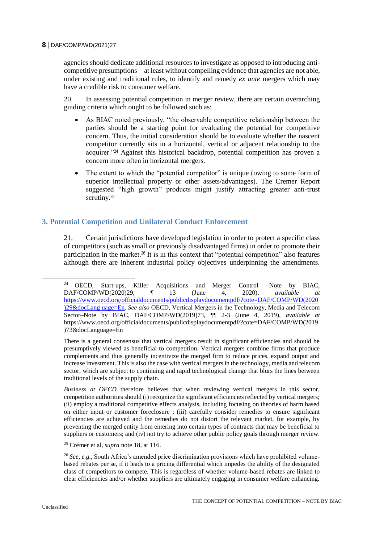agencies should dedicate additional resources to investigate as opposed to introducing anticompetitive presumptions—at least without compelling evidence that agencies are not able, under existing and traditional rules, to identify and remedy *ex ante* mergers which may have a credible risk to consumer welfare.

20. In assessing potential competition in merger review, there are certain overarching guiding criteria which ought to be followed such as:

- As BIAC noted previously, "the observable competitive relationship between the parties should be a starting point for evaluating the potential for competitive concern. Thus, the initial consideration should be to evaluate whether the nascent competitor currently sits in a horizontal, vertical or adjacent relationship to the acquirer."<sup>24</sup> Against this historical backdrop, potential competition has proven a concern more often in horizontal mergers.
- The extent to which the "potential competitor" is unique (owing to some form of superior intellectual property or other assets/advantages). The Cremer Report suggested "high growth" products might justify attracting greater anti-trust scrutiny.<sup>25</sup>

# **3. Potential Competition and Unilateral Conduct Enforcement**

21. Certain jurisdictions have developed legislation in order to protect a specific class of competitors (such as small or previously disadvantaged firms) in order to promote their participation in the market.<sup>26</sup> It is in this context that "potential competition" also features although there are inherent industrial policy objectives underpinning the amendments.

*Business at OECD* therefore believes that when reviewing vertical mergers in this sector, competition authorities should (i) recognize the significant efficiencies reflected by vertical mergers; (ii) employ a traditional competitive effects analysis, including focusing on theories of harm based on either input or customer foreclosure ; (iii) carefully consider remedies to ensure significant efficiencies are achieved and the remedies do not distort the relevant market, for example, by preventing the merged entity from entering into certain types of contracts that may be beneficial to suppliers or customers; and (iv) not try to achieve other public policy goals through merger review.

 $\overline{a}$ 

<sup>24</sup> OECD, Start-ups, Killer Acquisitions and Merger Control –Note by BIAC, DAF/COMP/WD(2020)29, ¶ 13 (June 4, 2020), *available at* [https://www.oecd.org/officialdocuments/publicdisplaydocumentpdf/?cote=DAF/COMP/WD\(2020](https://www.oecd.org/officialdocuments/publicdisplaydocumentpdf/?cote=DAF/COMP/WD(2020)29&docLang%20uage=En) [\)29&docLang uage=En.](https://www.oecd.org/officialdocuments/publicdisplaydocumentpdf/?cote=DAF/COMP/WD(2020)29&docLang%20uage=En) *See also* OECD, Vertical Mergers in the Technology, Media and Telecom Sector–Note by BIAC, DAF/COMP/WD(2019)73, ¶¶ 2-3 (June 4, 2019), *available at* https://www.oecd.org/officialdocuments/publicdisplaydocumentpdf/?cote=DAF/COMP/WD(2019 )73&docLanguage=En

There is a general consensus that vertical mergers result in significant efficiencies and should be presumptively viewed as beneficial to competition. Vertical mergers combine firms that produce complements and thus generally incentivize the merged firm to reduce prices, expand output and increase investment. This is also the case with vertical mergers in the technology, media and telecom sector, which are subject to continuing and rapid technological change that blurs the lines between traditional levels of the supply chain.

<sup>25</sup> Crémer et al, *supra* note 18, at 116.

<sup>26</sup> *See, e.g.*, South Africa's amended price discrimination provisions which have prohibited volumebased rebates per se, if it leads to a pricing differential which impedes the ability of the designated class of competitors to compete. This is regardless of whether volume-based rebates are linked to clear efficiencies and/or whether suppliers are ultimately engaging in consumer welfare enhancing.